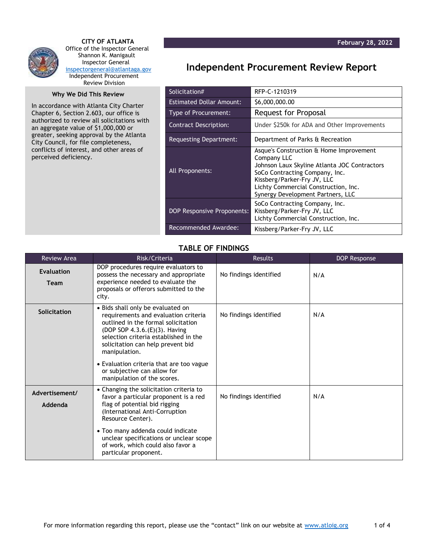

 **CITY OF ATLANTA** Office of the Inspector General Shannon K. Manigault Inspector General [inspectorgeneral@atlantaga.gov](mailto:inspectorgeneral@atlantaga.gov) Independent Procurement Review Division

## **Why We Did This Review**

In accordance with Atlanta City Charter Chapter 6, Section 2.603, our office is authorized to review all solicitations with an aggregate value of \$1,000,000 or greater, seeking approval by the Atlanta City Council, for file completeness, conflicts of interest, and other areas of perceived deficiency.

## **Independent Procurement Review Report**

| Solicitation#                   | RFP-C-1210319                                                                                                                                                                                                                                        |
|---------------------------------|------------------------------------------------------------------------------------------------------------------------------------------------------------------------------------------------------------------------------------------------------|
| <b>Estimated Dollar Amount:</b> | \$6,000,000.00                                                                                                                                                                                                                                       |
| <b>Type of Procurement:</b>     | <b>Request for Proposal</b>                                                                                                                                                                                                                          |
| <b>Contract Description:</b>    | Under \$250k for ADA and Other Improvements                                                                                                                                                                                                          |
| Requesting Department:          | Department of Parks & Recreation                                                                                                                                                                                                                     |
| All Proponents:                 | Asque's Construction & Home Improvement<br>Company LLC<br>Johnson Laux Skyline Atlanta JOC Contractors<br>SoCo Contracting Company, Inc.<br>Kissberg/Parker-Fry JV, LLC<br>Lichty Commercial Construction, Inc.<br>Synergy Development Partners, LLC |
| DOP Responsive Proponents:      | SoCo Contracting Company, Inc.<br>Kissberg/Parker-Fry JV, LLC<br>Lichty Commercial Construction, Inc.                                                                                                                                                |
| Recommended Awardee:            | Kissberg/Parker-Fry JV, LLC                                                                                                                                                                                                                          |

## **TABLE OF FINDINGS**

| <b>Review Area</b>        | Risk/Criteria                                                                                                                                                                                                                                                                                                                                              | <b>Results</b>         | DOP Response |
|---------------------------|------------------------------------------------------------------------------------------------------------------------------------------------------------------------------------------------------------------------------------------------------------------------------------------------------------------------------------------------------------|------------------------|--------------|
| Evaluation<br><b>Team</b> | DOP procedures require evaluators to<br>possess the necessary and appropriate<br>experience needed to evaluate the<br>proposals or offerors submitted to the<br>city.                                                                                                                                                                                      | No findings identified | N/A          |
| Solicitation              | • Bids shall only be evaluated on<br>requirements and evaluation criteria<br>outlined in the formal solicitation<br>(DOP SOP 4.3.6.(E)(3). Having<br>selection criteria established in the<br>solicitation can help prevent bid<br>manipulation.<br>• Evaluation criteria that are too vague<br>or subjective can allow for<br>manipulation of the scores. | No findings identified | N/A          |
| Advertisement/<br>Addenda | • Changing the solicitation criteria to<br>favor a particular proponent is a red<br>flag of potential bid rigging<br>(International Anti-Corruption<br>Resource Center).<br>• Too many addenda could indicate<br>unclear specifications or unclear scope<br>of work, which could also favor a<br>particular proponent.                                     | No findings identified | N/A          |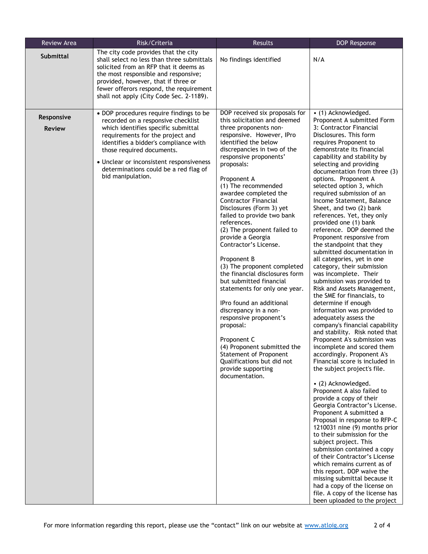| Review Area                 | Risk/Criteria                                                                                                                                                                                                                                                                                                                            | <b>Results</b>                                                                                                                                                                                                                                                                                                                                                                                                                                                                                                                                                                                                                                                                                                                                                                                                                                                       | <b>DOP Response</b>                                                                                                                                                                                                                                                                                                                                                                                                                                                                                                                                                                                                                                                                                                                                                                                                                                                                                                                                                                                                                                                                                                                                                                                                                                                                                                                                                                                                                                                                                                                                                                                              |
|-----------------------------|------------------------------------------------------------------------------------------------------------------------------------------------------------------------------------------------------------------------------------------------------------------------------------------------------------------------------------------|----------------------------------------------------------------------------------------------------------------------------------------------------------------------------------------------------------------------------------------------------------------------------------------------------------------------------------------------------------------------------------------------------------------------------------------------------------------------------------------------------------------------------------------------------------------------------------------------------------------------------------------------------------------------------------------------------------------------------------------------------------------------------------------------------------------------------------------------------------------------|------------------------------------------------------------------------------------------------------------------------------------------------------------------------------------------------------------------------------------------------------------------------------------------------------------------------------------------------------------------------------------------------------------------------------------------------------------------------------------------------------------------------------------------------------------------------------------------------------------------------------------------------------------------------------------------------------------------------------------------------------------------------------------------------------------------------------------------------------------------------------------------------------------------------------------------------------------------------------------------------------------------------------------------------------------------------------------------------------------------------------------------------------------------------------------------------------------------------------------------------------------------------------------------------------------------------------------------------------------------------------------------------------------------------------------------------------------------------------------------------------------------------------------------------------------------------------------------------------------------|
| <b>Submittal</b>            | The city code provides that the city<br>shall select no less than three submittals<br>solicited from an RFP that it deems as<br>the most responsible and responsive;<br>provided, however, that if three or<br>fewer offerors respond, the requirement<br>shall not apply (City Code Sec. 2-1189).                                       | No findings identified                                                                                                                                                                                                                                                                                                                                                                                                                                                                                                                                                                                                                                                                                                                                                                                                                                               | N/A                                                                                                                                                                                                                                                                                                                                                                                                                                                                                                                                                                                                                                                                                                                                                                                                                                                                                                                                                                                                                                                                                                                                                                                                                                                                                                                                                                                                                                                                                                                                                                                                              |
| Responsive<br><b>Review</b> | • DOP procedures require findings to be<br>recorded on a responsive checklist<br>which identifies specific submittal<br>requirements for the project and<br>identifies a bidder's compliance with<br>those required documents.<br>• Unclear or inconsistent responsiveness<br>determinations could be a red flag of<br>bid manipulation. | DOP received six proposals for<br>this solicitation and deemed<br>three proponents non-<br>responsive. However, IPro<br>identified the below<br>discrepancies in two of the<br>responsive proponents'<br>proposals:<br>Proponent A<br>(1) The recommended<br>awardee completed the<br><b>Contractor Financial</b><br>Disclosures (Form 3) yet<br>failed to provide two bank<br>references.<br>(2) The proponent failed to<br>provide a Georgia<br>Contractor's License.<br>Proponent B<br>(3) The proponent completed<br>the financial disclosures form<br>but submitted financial<br>statements for only one year.<br>IPro found an additional<br>discrepancy in a non-<br>responsive proponent's<br>proposal:<br>Proponent C<br>(4) Proponent submitted the<br><b>Statement of Proponent</b><br>Qualifications but did not<br>provide supporting<br>documentation. | • (1) Acknowledged.<br>Proponent A submitted Form<br>3: Contractor Financial<br>Disclosures. This form<br>requires Proponent to<br>demonstrate its financial<br>capability and stability by<br>selecting and providing<br>documentation from three (3)<br>options. Proponent A<br>selected option 3, which<br>required submission of an<br>Income Statement, Balance<br>Sheet, and two (2) bank<br>references. Yet, they only<br>provided one (1) bank<br>reference. DOP deemed the<br>Proponent responsive from<br>the standpoint that they<br>submitted documentation in<br>all categories, yet in one<br>category, their submission<br>was incomplete. Their<br>submission was provided to<br>Risk and Assets Management,<br>the SME for financials, to<br>determine if enough<br>information was provided to<br>adequately assess the<br>company's financial capability<br>and stability. Risk noted that<br>Proponent A's submission was<br>incomplete and scored them<br>accordingly. Proponent A's<br>Financial score is included in<br>the subject project's file.<br>• (2) Acknowledged.<br>Proponent A also failed to<br>provide a copy of their<br>Georgia Contractor's License.<br>Proponent A submitted a<br>Proposal in response to RFP-C<br>1210031 nine (9) months prior<br>to their submission for the<br>subject project. This<br>submission contained a copy<br>of their Contractor's License<br>which remains current as of<br>this report. DOP waive the<br>missing submittal because it<br>had a copy of the license on<br>file. A copy of the license has<br>been uploaded to the project |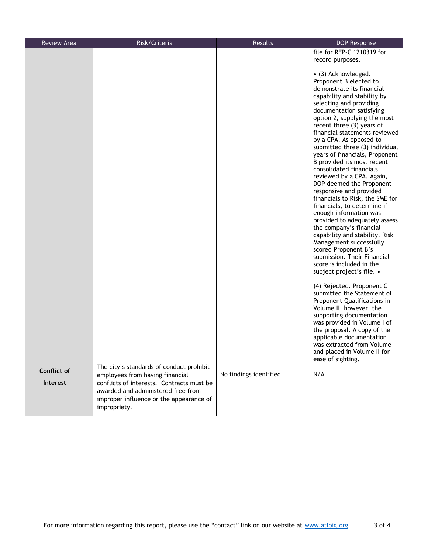| <b>Review Area</b>      | Risk/Criteria                                                                                                                                                                                                             | Results                | <b>DOP Response</b>                                                                                                                                                                                                                                                                                                                                                                                                                                                                                                                                                                                                                                                                                                                                                                                                                                                                                                                                                                                                             |
|-------------------------|---------------------------------------------------------------------------------------------------------------------------------------------------------------------------------------------------------------------------|------------------------|---------------------------------------------------------------------------------------------------------------------------------------------------------------------------------------------------------------------------------------------------------------------------------------------------------------------------------------------------------------------------------------------------------------------------------------------------------------------------------------------------------------------------------------------------------------------------------------------------------------------------------------------------------------------------------------------------------------------------------------------------------------------------------------------------------------------------------------------------------------------------------------------------------------------------------------------------------------------------------------------------------------------------------|
|                         |                                                                                                                                                                                                                           |                        | file for RFP-C 1210319 for                                                                                                                                                                                                                                                                                                                                                                                                                                                                                                                                                                                                                                                                                                                                                                                                                                                                                                                                                                                                      |
|                         |                                                                                                                                                                                                                           |                        | record purposes.                                                                                                                                                                                                                                                                                                                                                                                                                                                                                                                                                                                                                                                                                                                                                                                                                                                                                                                                                                                                                |
|                         |                                                                                                                                                                                                                           |                        | • (3) Acknowledged.<br>Proponent B elected to<br>demonstrate its financial<br>capability and stability by<br>selecting and providing<br>documentation satisfying<br>option 2, supplying the most<br>recent three (3) years of<br>financial statements reviewed<br>by a CPA. As opposed to<br>submitted three (3) individual<br>years of financials, Proponent<br>B provided its most recent<br>consolidated financials<br>reviewed by a CPA. Again,<br>DOP deemed the Proponent<br>responsive and provided<br>financials to Risk, the SME for<br>financials, to determine if<br>enough information was<br>provided to adequately assess<br>the company's financial<br>capability and stability. Risk<br>Management successfully<br>scored Proponent B's<br>submission. Their Financial<br>score is included in the<br>subject project's file. •<br>(4) Rejected. Proponent C<br>submitted the Statement of<br>Proponent Qualifications in<br>Volume II, however, the<br>supporting documentation<br>was provided in Volume I of |
|                         |                                                                                                                                                                                                                           |                        | the proposal. A copy of the<br>applicable documentation<br>was extracted from Volume I<br>and placed in Volume II for<br>ease of sighting.                                                                                                                                                                                                                                                                                                                                                                                                                                                                                                                                                                                                                                                                                                                                                                                                                                                                                      |
| Conflict of<br>Interest | The city's standards of conduct prohibit<br>employees from having financial<br>conflicts of interests. Contracts must be<br>awarded and administered free from<br>improper influence or the appearance of<br>impropriety. | No findings identified | N/A                                                                                                                                                                                                                                                                                                                                                                                                                                                                                                                                                                                                                                                                                                                                                                                                                                                                                                                                                                                                                             |